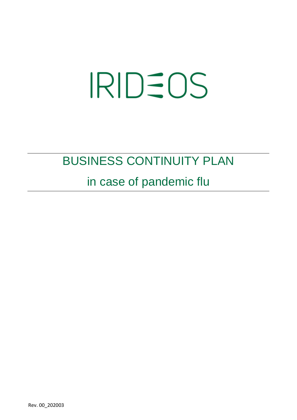# **IRIDEOS**

### BUSINESS CONTINUITY PLAN

### in case of pandemic flu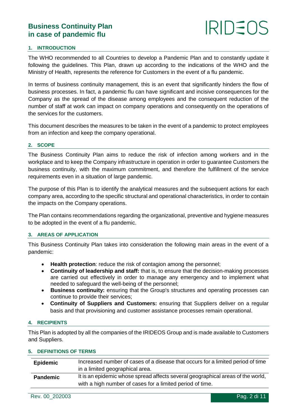## $IRID =$

#### **1. INTRODUCTION**

The WHO recommended to all Countries to develop a Pandemic Plan and to constantly update it following the guidelines. This Plan, drawn up according to the indications of the WHO and the Ministry of Health, represents the reference for Customers in the event of a flu pandemic.

In terms of business continuity management, this is an event that significantly hinders the flow of business processes. In fact, a pandemic flu can have significant and incisive consequences for the Company as the spread of the disease among employees and the consequent reduction of the number of staff at work can impact on company operations and consequently on the operations of the services for the customers.

This document describes the measures to be taken in the event of a pandemic to protect employees from an infection and keep the company operational.

#### **2. SCOPE**

The Business Continuity Plan aims to reduce the risk of infection among workers and in the workplace and to keep the Company infrastructure in operation in order to guarantee Customers the business continuity, with the maximum commitment, and therefore the fulfillment of the service requirements even in a situation of large pandemic.

The purpose of this Plan is to identify the analytical measures and the subsequent actions for each company area, according to the specific structural and operational characteristics, in order to contain the impacts on the Company operations.

The Plan contains recommendations regarding the organizational, preventive and hygiene measures to be adopted in the event of a flu pandemic.

#### **3. AREAS OF APPLICATION**

This Business Continuity Plan takes into consideration the following main areas in the event of a pandemic:

- **Health protection**: reduce the risk of contagion among the personnel;
- **Continuity of leadership and staff:** that is, to ensure that the decision-making processes are carried out effectively in order to manage any emergency and to implement what needed to safeguard the well-being of the personnel;
- **Business continuity:** ensuring that the Group's structures and operating processes can continue to provide their services;
- **Continuity of Suppliers and Customers:** ensuring that Suppliers deliver on a regular basis and that provisioning and customer assistance processes remain operational.

#### **4. RECIPIENTS**

This Plan is adopted by all the companies of the IRIDEOS Group and is made available to Customers and Suppliers.

#### **5. DEFINITIONS OF TERMS**

| <b>Epidemic</b> | Increased number of cases of a disease that occurs for a limited period of time<br>in a limited geographical area.                           |
|-----------------|----------------------------------------------------------------------------------------------------------------------------------------------|
| <b>Pandemic</b> | It is an epidemic whose spread affects several geographical areas of the world,<br>with a high number of cases for a limited period of time. |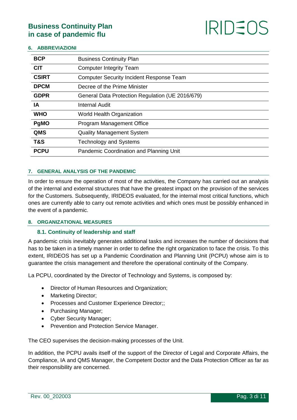

#### **6. ABBREVIAZIONI**

| <b>BCP</b>     | <b>Business Continuity Plan</b>                  |
|----------------|--------------------------------------------------|
| <b>CIT</b>     | <b>Computer Integrity Team</b>                   |
| <b>CSIRT</b>   | <b>Computer Security Incident Response Team</b>  |
| <b>DPCM</b>    | Decree of the Prime Minister                     |
| <b>GDPR</b>    | General Data Protection Regulation (UE 2016/679) |
| IA             | <b>Internal Audit</b>                            |
| <b>WHO</b>     | World Health Organization                        |
| PgMO           | <b>Program Management Office</b>                 |
| <b>QMS</b>     | <b>Quality Management System</b>                 |
| <b>T&amp;S</b> | <b>Technology and Systems</b>                    |
| <b>PCPU</b>    | Pandemic Coordination and Planning Unit          |
|                |                                                  |

#### **7. GENERAL ANALYSIS OF THE PANDEMIC**

In order to ensure the operation of most of the activities, the Company has carried out an analysis of the internal and external structures that have the greatest impact on the provision of the services for the Customers. Subsequently, IRIDEOS evaluated, for the internal most critical functions, which ones are currently able to carry out remote activities and which ones must be possibly enhanced in the event of a pandemic.

#### **8. ORGANIZATIONAL MEASURES**

#### **8.1. Continuity of leadership and staff**

A pandemic crisis inevitably generates additional tasks and increases the number of decisions that has to be taken in a timely manner in order to define the right organization to face the crisis. To this extent, IRIDEOS has set up a Pandemic Coordination and Planning Unit (PCPU) whose aim is to guarantee the crisis management and therefore the operational continuity of the Company.

La PCPU, coordinated by the Director of Technology and Systems, is composed by:

- Director of Human Resources and Organization;
- Marketing Director:
- Processes and Customer Experience Director;;
- Purchasing Manager;
- Cyber Security Manager;
- Prevention and Protection Service Manager.

The CEO supervises the decision-making processes of the Unit.

In addition, the PCPU avails itself of the support of the Director of Legal and Corporate Affairs, the Compliance, IA and QMS Manager, the Competent Doctor and the Data Protection Officer as far as their responsibility are concerned.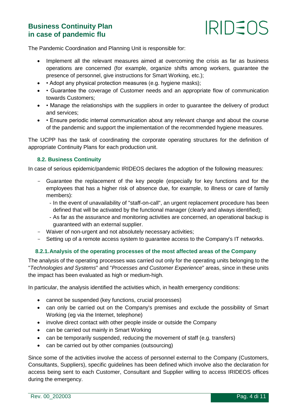

The Pandemic Coordination and Planning Unit is responsible for:

- Implement all the relevant measures aimed at overcoming the crisis as far as business operations are concerned (for example, organize shifts among workers, guarantee the presence of personnel, give instructions for Smart Working, etc.);
- • Adopt any physical protection measures (e.g. hygiene masks);
- Guarantee the coverage of Customer needs and an appropriate flow of communication towards Customers;
- • Manage the relationships with the suppliers in order to guarantee the delivery of product and services;
- Ensure periodic internal communication about any relevant change and about the course of the pandemic and support the implementation of the recommended hygiene measures.

The UCPP has the task of coordinating the corporate operating structures for the definition of appropriate Continuity Plans for each production unit.

#### **8.2. Business Continuity**

In case of serious epidemic/pandemic IRIDEOS declares the adoption of the following measures:

- Guarantee the replacement of the key people (especially for key functions and for the employees that has a higher risk of absence due, for example, to illness or care of family members):
	- In the event of unavailability of "staff-on-call", an urgent replacement procedure has been defined that will be activated by the functional manager (clearly and always identified);
	- As far as the assurance and monitoring activities are concerned, an operational backup is guaranteed with an external supplier.
- Waiver of non-urgent and not absolutely necessary activities;
- Setting up of a remote access system to guarantee access to the Company's IT networks.

#### **8.2.1.Analysis of the operating processes of the most affected areas of the Company**

The analysis of the operating processes was carried out only for the operating units belonging to the "*Technologies and Systems*" and "*Processes and Customer Experience*" areas, since in these units the impact has been evaluated as high or medium-high.

In particular, the analysis identified the activities which, in health emergency conditions:

- cannot be suspended (key functions, crucial processes)
- can only be carried out on the Company's premises and exclude the possibility of Smart Working (eg via the Internet, telephone)
- involve direct contact with other people inside or outside the Company
- can be carried out mainly in Smart Working
- can be temporarily suspended, reducing the movement of staff (e.g. transfers)
- can be carried out by other companies (outsourcing)

Since some of the activities involve the access of personnel external to the Company (Customers, Consultants, Suppliers), specific guidelines has been defined which involve also the declaration for access being sent to each Customer, Consultant and Supplier willing to access IRIDEOS offices during the emergency.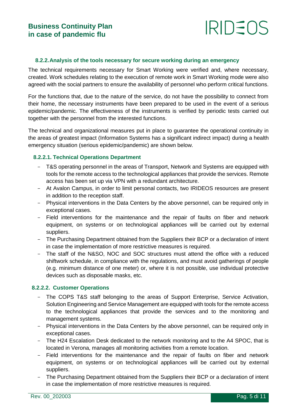### IRIDEOS

#### **8.2.2.Analysis of the tools necessary for secure working during an emergency**

The technical requirements necessary for Smart Working were verified and, where necessary, created. Work schedules relating to the execution of remote work in Smart Working mode were also agreed with the social partners to ensure the availability of personnel who perform critical functions.

For the functions that, due to the nature of the service, do not have the possibility to connect from their home, the necessary instruments have been prepared to be used in the event of a serious epidemic/pandemic. The effectiveness of the instruments is verified by periodic tests carried out together with the personnel from the interested functions.

The technical and organizational measures put in place to guarantee the operational continuity in the areas of greatest impact (Information Systems has a significant indirect impact) during a health emergency situation (serious epidemic/pandemic) are shown below.

#### **8.2.2.1. Technical Operations Department**

- T&S operating personnel in the areas of Transport, Network and Systems are equipped with tools for the remote access to the technological appliances that provide the services. Remote access has been set up via VPN with a redundant architecture.
- At Avalon Campus, in order to limit personal contacts, two IRIDEOS resources are present in addition to the reception staff.
- Physical interventions in the Data Centers by the above personnel, can be required only in exceptional cases.
- Field interventions for the maintenance and the repair of faults on fiber and network equipment, on systems or on technological appliances will be carried out by external suppliers.
- The Purchasing Department obtained from the Suppliers their BCP or a declaration of intent in case the implementation of more restrictive measures is required.
- The staff of the N&SO, NOC and SOC structures must attend the office with a reduced shiftwork schedule, in compliance with the regulations, and must avoid gatherings of people (e.g. minimum distance of one meter) or, where it is not possible, use individual protective devices such as disposable masks, etc.

#### **8.2.2.2. Customer Operations**

- The COPS T&S staff belonging to the areas of Support Enterprise, Service Activation, Solution Engineering and Service Management are equipped with tools for the remote access to the technological appliances that provide the services and to the monitoring and management systems.
- Physical interventions in the Data Centers by the above personnel, can be required only in exceptional cases.
- The H24 Escalation Desk dedicated to the network monitoring and to the A4 SPOC, that is located in Verona, manages all monitoring activities from a remote location.
- Field interventions for the maintenance and the repair of faults on fiber and network equipment, on systems or on technological appliances will be carried out by external suppliers.
- The Purchasing Department obtained from the Suppliers their BCP or a declaration of intent in case the implementation of more restrictive measures is required.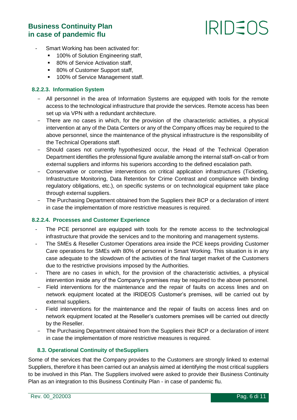## **IRIDEOS**

- Smart Working has been activated for:
	- **100% of Solution Engineering staff,**
	- 80% of Service Activation staff,
	- 80% of Customer Support staff,
	- **100% of Service Management staff.**

#### **8.2.2.3. Information System**

- All personnel in the area of Information Systems are equipped with tools for the remote access to the technological infrastructure that provide the services. Remote access has been set up via VPN with a redundant architecture.
- There are no cases in which, for the provision of the characteristic activities, a physical intervention at any of the Data Centers or any of the Company offices may be required to the above personnel, since the maintenance of the physical infrastructure is the responsibility of the Technical Operations staff.
- Should cases not currently hypothesized occur, the Head of the Technical Operation Department identifies the professional figure available among the internal staff-on-call or from external suppliers and informs his superiors according to the defined escalation path.
- Conservative or corrective interventions on critical application infrastructures (Ticketing, Infrastructure Monitoring, Data Retention for Crime Contrast and compliance with binding regulatory obligations, etc.), on specific systems or on technological equipment take place through external suppliers.
- The Purchasing Department obtained from the Suppliers their BCP or a declaration of intent in case the implementation of more restrictive measures is required.

#### **8.2.2.4. Processes and Customer Experience**

- The PCE personnel are equipped with tools for the remote access to the technological infrastructure that provide the services and to the monitoring and management systems.
- The SMEs & Reseller Customer Operations area inside the PCE keeps providing Customer Care operations for SMEs with 80% of personnel in Smart Working. This situation is in any case adequate to the slowdown of the activities of the final target market of the Customers due to the restrictive provisions imposed by the Authorities.
- There are no cases in which, for the provision of the characteristic activities, a physical intervention inside any of the Company's premises may be required to the above personnel.
- Field interventions for the maintenance and the repair of faults on access lines and on network equipment located at the IRIDEOS Customer's premises, will be carried out by external suppliers.
- Field interventions for the maintenance and the repair of faults on access lines and on network equipment located at the Reseller's customers premises will be carried out directly by the Reseller.
- The Purchasing Department obtained from the Suppliers their BCP or a declaration of intent in case the implementation of more restrictive measures is required.

#### **8.3. Operational Continuity of theSuppliers**

Some of the services that the Company provides to the Customers are strongly linked to external Suppliers, therefore it has been carried out an analysis aimed at identifying the most critical suppliers to be involved in this Plan. The Suppliers involved were asked to provide their Business Continuity Plan as an integration to this Business Continuity Plan - in case of pandemic flu.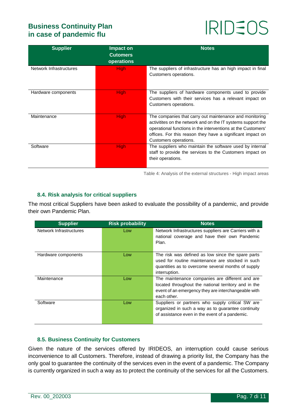# **IRIDEOS**

| <b>Supplier</b>         | Impact on<br><b>Cutomers</b><br>operations | <b>Notes</b>                                                                                                                                                                                                                                                                    |
|-------------------------|--------------------------------------------|---------------------------------------------------------------------------------------------------------------------------------------------------------------------------------------------------------------------------------------------------------------------------------|
| Network Infrastructures | <b>High</b>                                | The suppliers of infrastructure has an high impact in final<br>Customers operations.                                                                                                                                                                                            |
| Hardware components     | <b>High</b>                                | The suppliers of hardware components used to provide<br>Customers with their services has a relevant impact on<br>Customers operations.                                                                                                                                         |
| Maintenance             | <b>High</b>                                | The companies that carry out maintenance and monitoring<br>activitities on the network and on the IT systems support the<br>operational functions in the interventions at the Customers'<br>offices. For this reason they have a significant impact on<br>Customers operations. |
| Software                | <b>High</b>                                | The suppliers who maintain the software used by internal<br>staff to provide the services to the Customers impact on<br>their operations.                                                                                                                                       |

Table 4: Analysis of the external structures - High impact areas

#### **8.4. Risk analysis for critical suppliers**

The most critical Suppliers have been asked to evaluate the possibility of a pandemic, and provide their own Pandemic Plan.

| <b>Supplier</b>         | <b>Risk probability</b> | <b>Notes</b>                                          |
|-------------------------|-------------------------|-------------------------------------------------------|
| Network Infrastructures | Low                     | Network Infrastructures suppliers are Carriers with a |
|                         |                         | national coverage and have their own Pandemic         |
|                         |                         | Plan.                                                 |
|                         |                         |                                                       |
| Hardware components     | Low                     | The risk was defined as low since the spare parts     |
|                         |                         | used for routine maintenance are stocked in such      |
|                         |                         | quantities as to overcome several months of supply    |
|                         |                         | interruption.                                         |
| Maintenance             | Low                     | The maintenance companies are different and are       |
|                         |                         | located throughout the national territory and in the  |
|                         |                         | event of an emergency they are interchangeable with   |
|                         |                         | each other.                                           |
| Software                | Low                     | Suppliers or partners who supply critical SW are      |
|                         |                         | organized in such a way as to guarantee continuity    |
|                         |                         | of assistance even in the event of a pandemic.        |
|                         |                         |                                                       |

#### **8.5. Business Continuity for Customers**

Given the nature of the services offered by IRIDEOS, an interruption could cause serious inconvenience to all Customers. Therefore, instead of drawing a priority list, the Company has the only goal to guarantee the continuity of the services even in the event of a pandemic. The Company is currently organized in such a way as to protect the continuity of the services for all the Customers.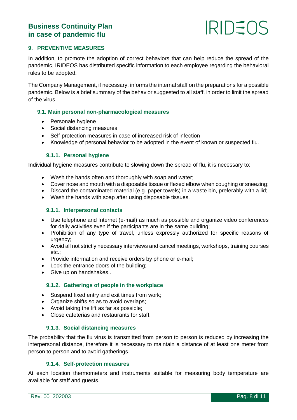## IRIDE(

#### **9. PREVENTIVE MEASURES**

In addition, to promote the adoption of correct behaviors that can help reduce the spread of the pandemic, IRIDEOS has distributed specific information to each employee regarding the behavioral rules to be adopted.

The Company Management, if necessary, informs the internal staff on the preparations for a possible pandemic. Below is a brief summary of the behavior suggested to all staff, in order to limit the spread of the virus.

#### **9.1. Main personal non-pharmacological measures**

- Personale hygiene
- Social distancing measures
- Self-protection measures in case of increased risk of infection
- Knowledge of personal behavior to be adopted in the event of known or suspected flu.

#### **9.1.1. Personal hygiene**

Individual hygiene measures contribute to slowing down the spread of flu, it is necessary to:

- Wash the hands often and thoroughly with soap and water;
- Cover nose and mouth with a disposable tissue or flexed elbow when coughing or sneezing;
- Discard the contaminated material (e.g. paper towels) in a waste bin, preferably with a lid;
- Wash the hands with soap after using disposable tissues.

#### **9.1.1. Interpersonal contacts**

- Use telephone and Internet (e-mail) as much as possible and organize video conferences for daily activities even if the participants are in the same building;
- Prohibition of any type of travel, unless expressly authorized for specific reasons of urgency;
- Avoid all not strictly necessary interviews and cancel meetings, workshops, training courses etc.;
- Provide information and receive orders by phone or e-mail;
- Lock the entrance doors of the building:
- Give up on handshakes..

#### **9.1.2. Gatherings of people in the workplace**

- Suspend fixed entry and exit times from work;
- Organize shifts so as to avoid overlaps;
- Avoid taking the lift as far as possible;
- Close cafeterias and restaurants for staff.

#### **9.1.3. Social distancing measures**

The probability that the flu virus is transmitted from person to person is reduced by increasing the interpersonal distance, therefore it is necessary to maintain a distance of at least one meter from person to person and to avoid gatherings.

#### **9.1.4. Self-protection measures**

At each location thermometers and instruments suitable for measuring body temperature are available for staff and guests.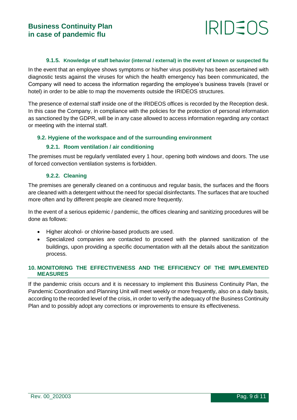### IRIDE(

#### **9.1.5. Knowledge of staff behavior (internal / external) in the event of known or suspected flu**

In the event that an employee shows symptoms or his/her virus positivity has been ascertained with diagnostic tests against the viruses for which the health emergency has been communicated, the Company will need to access the information regarding the employee's business travels (travel or hotel) in order to be able to map the movements outside the IRIDEOS structures.

The presence of external staff inside one of the IRIDEOS offices is recorded by the Reception desk. In this case the Company, in compliance with the policies for the protection of personal information as sanctioned by the GDPR, will be in any case allowed to access information regarding any contact or meeting with the internal staff.

#### **9.2. Hygiene of the workspace and of the surrounding environment**

#### **9.2.1. Room ventilation / air conditioning**

The premises must be regularly ventilated every 1 hour, opening both windows and doors. The use of forced convection ventilation systems is forbidden.

#### **9.2.2. Cleaning**

The premises are generally cleaned on a continuous and regular basis, the surfaces and the floors are cleaned with a detergent without the need for special disinfectants. The surfaces that are touched more often and by different people are cleaned more frequently.

In the event of a serious epidemic / pandemic, the offices cleaning and sanitizing procedures will be done as follows:

- Higher alcohol- or chlorine-based products are used.
- Specialized companies are contacted to proceed with the planned sanitization of the buildings, upon providing a specific documentation with all the details about the sanitization process.

#### **10. MONITORING THE EFFECTIVENESS AND THE EFFICIENCY OF THE IMPLEMENTED MEASURES**

If the pandemic crisis occurs and it is necessary to implement this Business Continuity Plan, the Pandemic Coordination and Planning Unit will meet weekly or more frequently, also on a daily basis, according to the recorded level of the crisis, in order to verify the adequacy of the Business Continuity Plan and to possibly adopt any corrections or improvements to ensure its effectiveness.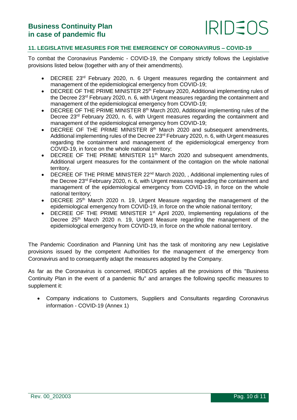#### **11. LEGISLATIVE MEASURES FOR THE EMERGENCY OF CORONAVIRUS – COVID-19**

To combat the Coronavirus Pandemic - COVID-19, the Company strictly follows the Legislative provisions listed below (together with any of their amendments).

- DECREE 23<sup>rd</sup> February 2020, n. 6 Urgent measures regarding the containment and management of the epidemiological emergency from COVID-19;
- DECREE OF THE PRIME MINISTER 25<sup>th</sup> February 2020, Additional implementing rules of the Decree 23rd February 2020, n. 6, with Urgent measures regarding the containment and management of the epidemiological emergency from COVID-19;
- $\bullet$  DECREE OF THE PRIME MINISTER  $8<sup>th</sup>$  March 2020, Additional implementing rules of the Decree 23<sup>rd</sup> February 2020, n. 6, with Urgent measures regarding the containment and management of the epidemiological emergency from COVID-19;
- $\bullet$  DECREE OF THE PRIME MINISTER  $8<sup>th</sup>$  March 2020 and subsequent amendments, Additional implementing rules of the Decree 23rd February 2020, n. 6, with Urgent measures regarding the containment and management of the epidemiological emergency from COVID-19, in force on the whole national territory;
- DECREE OF THE PRIME MINISTER 11<sup>th</sup> March 2020 and subsequent amendments, Additional urgent measures for the containment of the contagion on the whole national territory.
- DECREE OF THE PRIME MINISTER 22<sup>nd</sup> March 2020, , Additional implementing rules of the Decree 23rd February 2020, n. 6, with Urgent measures regarding the containment and management of the epidemiological emergency from COVID-19, in force on the whole national territory;
- DECREE 25<sup>th</sup> March 2020 n. 19, Urgent Measure regarding the management of the epidemiological emergency from COVID-19, in force on the whole national territory;
- DECREE OF THE PRIME MINISTER 1<sup>st</sup> April 2020, Implementing regulations of the Decree 25<sup>th</sup> March 2020 n. 19, Urgent Measure regarding the management of the epidemiological emergency from COVID-19, in force on the whole national territory.

The Pandemic Coordination and Planning Unit has the task of monitoring any new Legislative provisions issued by the competent Authorities for the management of the emergency from Coronavirus and to consequently adapt the measures adopted by the Company.

As far as the Coronavirus is concerned, IRIDEOS applies all the provisions of this "Business Continuity Plan in the event of a pandemic flu" and arranges the following specific measures to supplement it:

 Company indications to Customers, Suppliers and Consultants regarding Coronavirus information - COVID-19 (Annex 1)